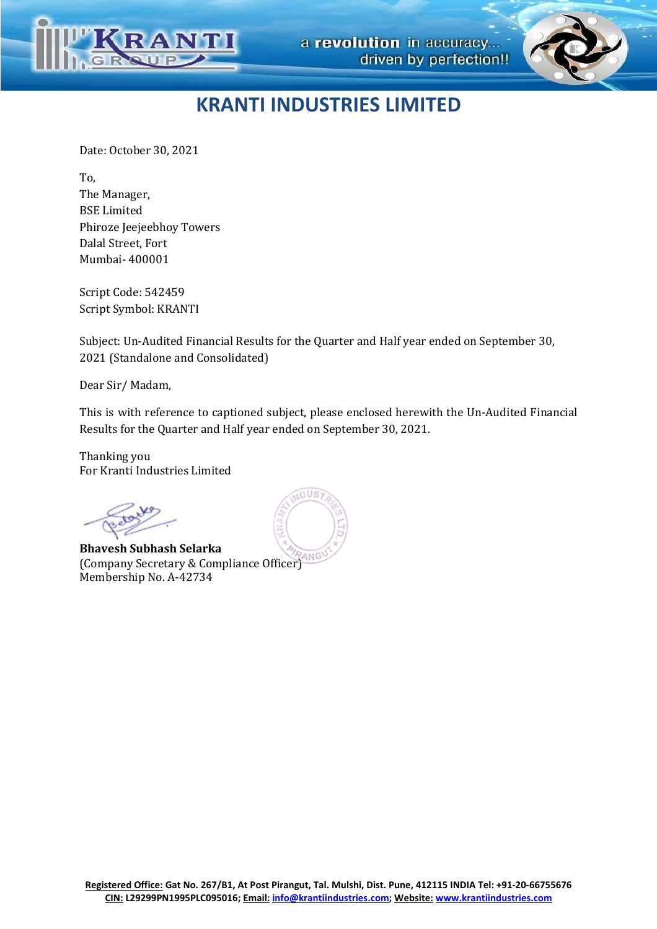



Date: October 30, 2021

To, The Manager, BSE Limited Phiroze Jeejeebhoy Towers Dalal Street, Fort Mumbai- 400001

Script Code: 542459 Script Symbol: KRANTI

Subject: Un-Audited Financial Results for the Quarter and Half year ended on September 30, 2021 (Standalone and Consolidated)

Dear Sir/ Madam,

This is with reference to captioned subject, please enclosed herewith the Un-Audited Financial Results for the Quarter and Half year ended on September 30, 2021.

Thanking you For Kranti Industries Limited

**Bhavesh Subhash Selarka**  (Company Secretary & Compliance Officer) Membership No. A-42734

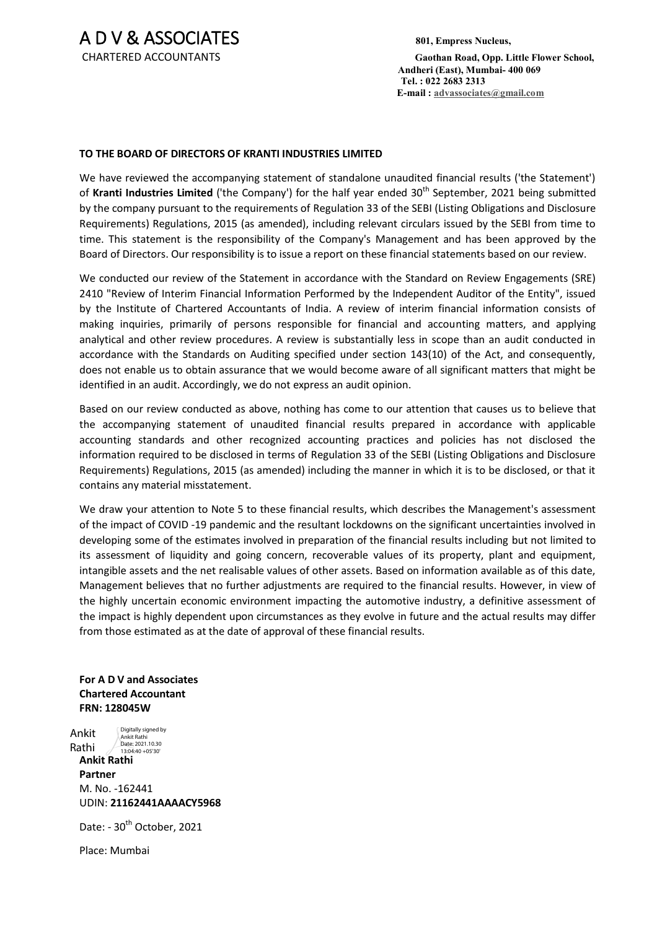A D V & ASSOCIATES **801, Empress Nucleus,**

 CHARTERED ACCOUNTANTS **Gaothan Road, Opp. Little Flower School, Andheri (East), Mumbai- 400 069 Tel. : 022 2683 2313 E-mail : advassociates@gmail.com**

# **TO THE BOARD OF DIRECTORS OF KRANTI INDUSTRIES LIMITED**

We have reviewed the accompanying statement of standalone unaudited financial results ('the Statement') of Kranti Industries Limited ('the Company') for the half year ended 30<sup>th</sup> September, 2021 being submitted by the company pursuant to the requirements of Regulation 33 of the SEBI (Listing Obligations and Disclosure Requirements) Regulations, 2015 (as amended), including relevant circulars issued by the SEBI from time to time. This statement is the responsibility of the Company's Management and has been approved by the Board of Directors. Our responsibility is to issue a report on these financial statements based on our review.

We conducted our review of the Statement in accordance with the Standard on Review Engagements (SRE) 2410 "Review of Interim Financial Information Performed by the Independent Auditor of the Entity", issued by the Institute of Chartered Accountants of India. A review of interim financial information consists of making inquiries, primarily of persons responsible for financial and accounting matters, and applying analytical and other review procedures. A review is substantially less in scope than an audit conducted in accordance with the Standards on Auditing specified under section 143(10) of the Act, and consequently, does not enable us to obtain assurance that we would become aware of all significant matters that might be identified in an audit. Accordingly, we do not express an audit opinion.

Based on our review conducted as above, nothing has come to our attention that causes us to believe that the accompanying statement of unaudited financial results prepared in accordance with applicable accounting standards and other recognized accounting practices and policies has not disclosed the information required to be disclosed in terms of Regulation 33 of the SEBI (Listing Obligations and Disclosure Requirements) Regulations, 2015 (as amended) including the manner in which it is to be disclosed, or that it contains any material misstatement.

We draw your attention to Note 5 to these financial results, which describes the Management's assessment of the impact of COVID -19 pandemic and the resultant lockdowns on the significant uncertainties involved in developing some of the estimates involved in preparation of the financial results including but not limited to its assessment of liquidity and going concern, recoverable values of its property, plant and equipment, intangible assets and the net realisable values of other assets. Based on information available as of this date, Management believes that no further adjustments are required to the financial results. However, in view of the highly uncertain economic environment impacting the automotive industry, a definitive assessment of the impact is highly dependent upon circumstances as they evolve in future and the actual results may differ from those estimated as at the date of approval of these financial results.

**For A D V and Associates Chartered Accountant FRN: 128045W** 

Ankit Rathi Digitally signed by Ankit Rathi Date: 2021.10.30 13:04:40 +05'30'

**Ankit Rathi Partner**  M. No. -162441 UDIN: **21162441AAAACY5968**

Date: - 30<sup>th</sup> October, 2021

Place: Mumbai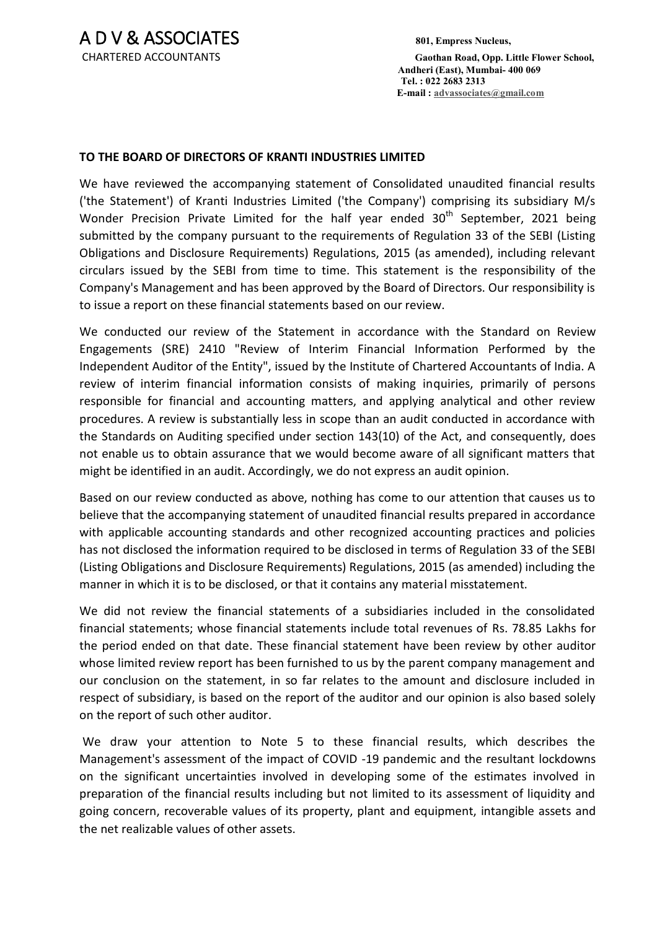CHARTERED ACCOUNTANTS **Gaothan Road, Opp. Little Flower School, Andheri (East), Mumbai- 400 069 Tel. : 022 2683 2313 E-mail : advassociates@gmail.com**

# **TO THE BOARD OF DIRECTORS OF KRANTI INDUSTRIES LIMITED**

We have reviewed the accompanying statement of Consolidated unaudited financial results ('the Statement') of Kranti Industries Limited ('the Company') comprising its subsidiary M/s Wonder Precision Private Limited for the half year ended  $30<sup>th</sup>$  September, 2021 being submitted by the company pursuant to the requirements of Regulation 33 of the SEBI (Listing Obligations and Disclosure Requirements) Regulations, 2015 (as amended), including relevant circulars issued by the SEBI from time to time. This statement is the responsibility of the Company's Management and has been approved by the Board of Directors. Our responsibility is to issue a report on these financial statements based on our review.

We conducted our review of the Statement in accordance with the Standard on Review Engagements (SRE) 2410 "Review of Interim Financial Information Performed by the Independent Auditor of the Entity", issued by the Institute of Chartered Accountants of India. A review of interim financial information consists of making inquiries, primarily of persons responsible for financial and accounting matters, and applying analytical and other review procedures. A review is substantially less in scope than an audit conducted in accordance with the Standards on Auditing specified under section 143(10) of the Act, and consequently, does not enable us to obtain assurance that we would become aware of all significant matters that might be identified in an audit. Accordingly, we do not express an audit opinion.

Based on our review conducted as above, nothing has come to our attention that causes us to believe that the accompanying statement of unaudited financial results prepared in accordance with applicable accounting standards and other recognized accounting practices and policies has not disclosed the information required to be disclosed in terms of Regulation 33 of the SEBI (Listing Obligations and Disclosure Requirements) Regulations, 2015 (as amended) including the manner in which it is to be disclosed, or that it contains any material misstatement.

We did not review the financial statements of a subsidiaries included in the consolidated financial statements; whose financial statements include total revenues of Rs. 78.85 Lakhs for the period ended on that date. These financial statement have been review by other auditor whose limited review report has been furnished to us by the parent company management and our conclusion on the statement, in so far relates to the amount and disclosure included in respect of subsidiary, is based on the report of the auditor and our opinion is also based solely on the report of such other auditor.

 We draw your attention to Note 5 to these financial results, which describes the Management's assessment of the impact of COVID -19 pandemic and the resultant lockdowns on the significant uncertainties involved in developing some of the estimates involved in preparation of the financial results including but not limited to its assessment of liquidity and going concern, recoverable values of its property, plant and equipment, intangible assets and the net realizable values of other assets.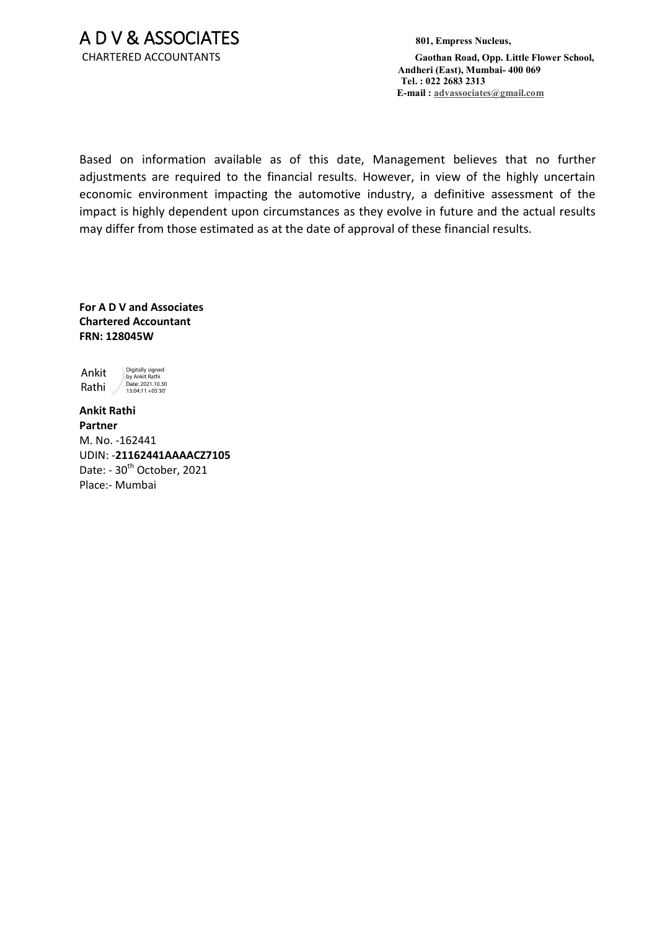CHARTERED ACCOUNTANTS **Gaothan Road, Opp. Little Flower School, Andheri (East), Mumbai- 400 069 Tel. : 022 2683 2313 E-mail : advassociates@gmail.com**

Based on information available as of this date, Management believes that no further adjustments are required to the financial results. However, in view of the highly uncertain economic environment impacting the automotive industry, a definitive assessment of the impact is highly dependent upon circumstances as they evolve in future and the actual results may differ from those estimated as at the date of approval of these financial results.

**For A D V and Associates Chartered Accountant FRN: 128045W** 



**Ankit Rathi Partner**  M. No. -162441 UDIN: -**21162441AAAACZ7105** Date: - 30<sup>th</sup> October, 2021 Place:- Mumbai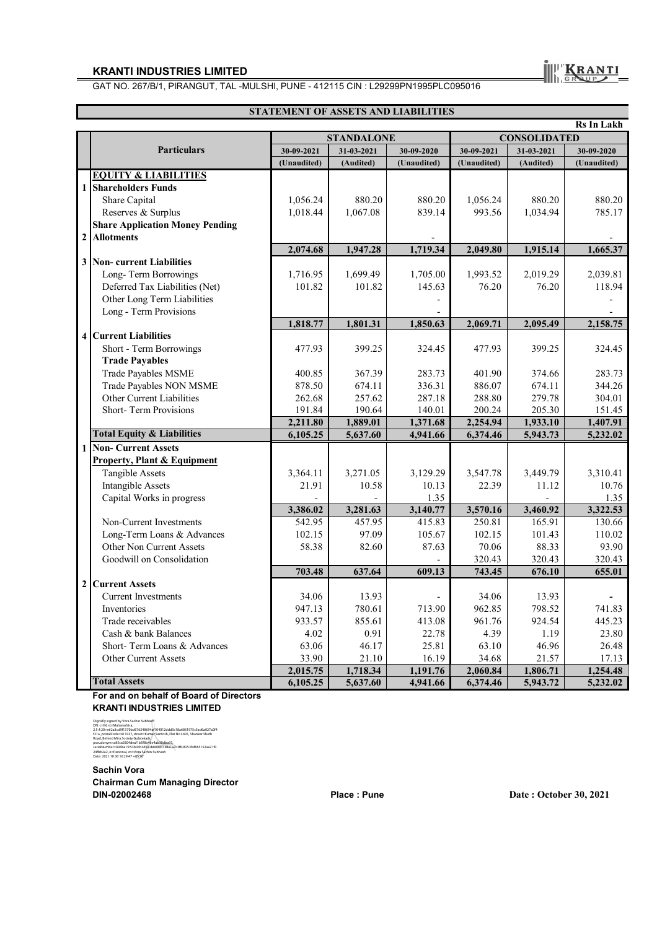GAT NO. 267/B/1, PIRANGUT, TAL -MULSHI, PUNE - 412115 CIN : L29299PN1995PLC095016

### **STATEMENT OF ASSETS AND LIABILITIES**

|                         | <b>Rs In Lakh</b>                      |             |                   |             |                     |            |             |  |  |
|-------------------------|----------------------------------------|-------------|-------------------|-------------|---------------------|------------|-------------|--|--|
|                         |                                        |             | <b>STANDALONE</b> |             | <b>CONSOLIDATED</b> |            |             |  |  |
|                         | <b>Particulars</b>                     | 30-09-2021  | 31-03-2021        | 30-09-2020  | 30-09-2021          | 31-03-2021 | 30-09-2020  |  |  |
|                         |                                        | (Unaudited) | (Audited)         | (Unaudited) | (Unaudited)         | (Audited)  | (Unaudited) |  |  |
|                         | <b>EQUITY &amp; LIABILITIES</b>        |             |                   |             |                     |            |             |  |  |
| $\mathbf{1}$            | <b>Shareholders Funds</b>              |             |                   |             |                     |            |             |  |  |
|                         | Share Capital                          | 1.056.24    | 880.20            | 880.20      | 1,056.24            | 880.20     | 880.20      |  |  |
|                         | Reserves & Surplus                     | 1,018.44    | 1,067.08          | 839.14      | 993.56              | 1,034.94   | 785.17      |  |  |
|                         | <b>Share Application Money Pending</b> |             |                   |             |                     |            |             |  |  |
| $\overline{2}$          | <b>Allotments</b>                      |             |                   |             |                     |            |             |  |  |
|                         |                                        | 2,074.68    | 1,947.28          | 1,719.34    | 2,049.80            | 1,915.14   | 1,665.37    |  |  |
| 3 <sup>1</sup>          | <b>Non-</b> current Liabilities        |             |                   |             |                     |            |             |  |  |
|                         | Long-Term Borrowings                   | 1,716.95    | 1,699.49          | 1,705.00    | 1,993.52            | 2,019.29   | 2,039.81    |  |  |
|                         | Deferred Tax Liabilities (Net)         | 101.82      | 101.82            | 145.63      | 76.20               | 76.20      | 118.94      |  |  |
|                         | Other Long Term Liabilities            |             |                   |             |                     |            |             |  |  |
|                         | Long - Term Provisions                 |             |                   |             |                     |            |             |  |  |
|                         |                                        | 1,818.77    | 1,801.31          | 1,850.63    | 2,069.71            | 2,095.49   | 2,158.75    |  |  |
| $\overline{\mathbf{4}}$ | <b>Current Liabilities</b>             |             |                   |             |                     |            |             |  |  |
|                         | Short - Term Borrowings                | 477.93      | 399.25            | 324.45      | 477.93              | 399.25     | 324.45      |  |  |
|                         | <b>Trade Payables</b>                  |             |                   |             |                     |            |             |  |  |
|                         | <b>Trade Payables MSME</b>             | 400.85      | 367.39            | 283.73      | 401.90              | 374.66     | 283.73      |  |  |
|                         | Trade Payables NON MSME                | 878.50      | 674.11            | 336.31      | 886.07              | 674.11     | 344.26      |  |  |
|                         | Other Current Liabilities              | 262.68      | 257.62            | 287.18      | 288.80              | 279.78     | 304.01      |  |  |
|                         | <b>Short-Term Provisions</b>           | 191.84      | 190.64            | 140.01      | 200.24              | 205.30     | 151.45      |  |  |
|                         |                                        | 2,211.80    | 1,889.01          | 1,371.68    | 2,254.94            | 1,933.10   | 1,407.91    |  |  |
|                         | <b>Total Equity &amp; Liabilities</b>  | 6,105.25    | 5,637.60          | 4,941.66    | 6,374.46            | 5,943.73   | 5,232.02    |  |  |
| $\mathbf{1}$            | <b>Non-Current Assets</b>              |             |                   |             |                     |            |             |  |  |
|                         | <b>Property, Plant &amp; Equipment</b> |             |                   |             |                     |            |             |  |  |
|                         | <b>Tangible Assets</b>                 | 3,364.11    | 3,271.05          | 3,129.29    | 3,547.78            | 3,449.79   | 3,310.41    |  |  |
|                         | <b>Intangible Assets</b>               | 21.91       | 10.58             | 10.13       | 22.39               | 11.12      | 10.76       |  |  |
|                         | Capital Works in progress              |             |                   | 1.35        |                     |            | 1.35        |  |  |
|                         |                                        | 3,386.02    | 3,281.63          | 3,140.77    | 3,570.16            | 3,460.92   | 3,322.53    |  |  |
|                         | Non-Current Investments                | 542.95      | 457.95            | 415.83      | 250.81              | 165.91     | 130.66      |  |  |
|                         | Long-Term Loans & Advances             | 102.15      | 97.09             | 105.67      | 102.15              | 101.43     | 110.02      |  |  |
|                         | Other Non Current Assets               | 58.38       | 82.60             | 87.63       | 70.06               | 88.33      | 93.90       |  |  |
|                         | Goodwill on Consolidation              |             |                   |             | 320.43              | 320.43     | 320.43      |  |  |
|                         |                                        | 703.48      | 637.64            | 609.13      | 743.45              | 676.10     | 655.01      |  |  |
| $\overline{2}$          | <b>Current Assets</b>                  |             |                   |             |                     |            |             |  |  |
|                         | <b>Current Investments</b>             | 34.06       | 13.93             |             | 34.06               | 13.93      |             |  |  |
|                         | Inventories                            | 947.13      | 780.61            | 713.90      | 962.85              | 798.52     | 741.83      |  |  |
|                         | Trade receivables                      | 933.57      | 855.61            | 413.08      | 961.76              | 924.54     | 445.23      |  |  |
|                         | Cash & bank Balances                   | 4.02        | 0.91              | 22.78       | 4.39                | 1.19       | 23.80       |  |  |
|                         | Short-Term Loans & Advances            | 63.06       | 46.17             | 25.81       | 63.10               | 46.96      | 26.48       |  |  |
|                         | <b>Other Current Assets</b>            | 33.90       | 21.10             | 16.19       | 34.68               | 21.57      | 17.13       |  |  |
|                         |                                        | 2,015.75    | 1,718.34          | 1,191.76    | 2,060.84            | 1,806.71   | 1,254.48    |  |  |
|                         | <b>Total Assets</b>                    | 6,105.25    | 5,637.60          | 4,941.66    | 6,374.46            | 5,943.72   | 5,232.02    |  |  |

**For and on behalf of Board of Directors KRANTI INDUSTRIES LIMITED**

Digitally signed by Vora Sachush<br>Digital Magnetic Processions, 2001<br>2.14.021-extabatashtra,<br>21.a. postal Code=411037, street-Kumaji Santosh, Flat No 1601, Shankar Sheeh<br>Road, Behira Miss Socary Guidestelle, Guidestine Shan

**Sachin Vora Chairman Cum Managing Director DIN-02002468 Place : Pune Date : October 30, 2021**

**III** ERANTI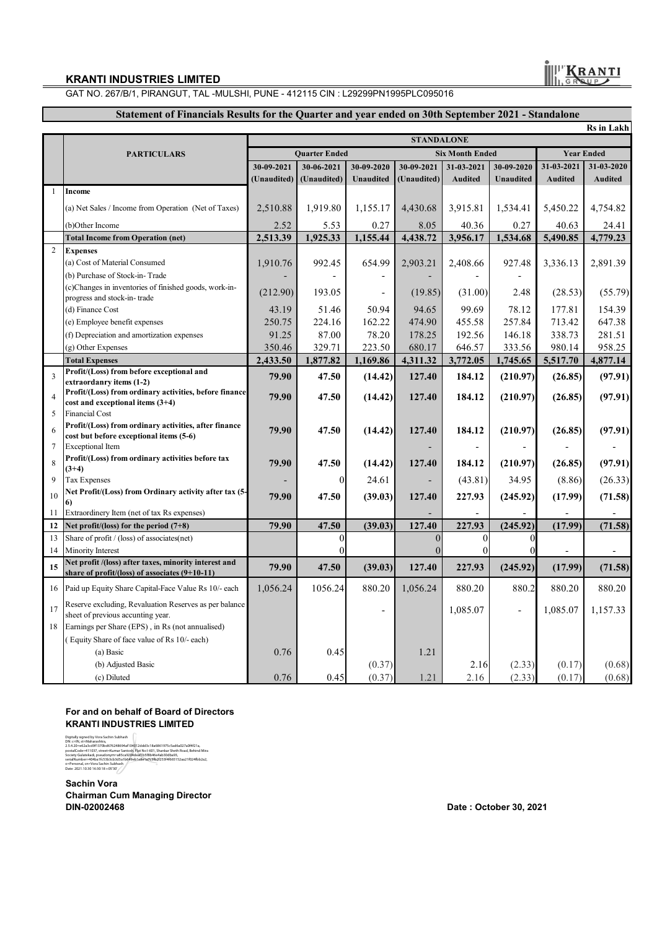GAT NO. 267/B/1, PIRANGUT, TAL -MULSHI, PUNE - 412115 CIN : L29299PN1995PLC095016

## **Statement of Financials Results for the Quarter and year ended on 30th September 2021 - Standalone**

|                |                                                                                             |                      |                          |                          |                        |                |                          |                   | <b>Rs</b> in Lakh |
|----------------|---------------------------------------------------------------------------------------------|----------------------|--------------------------|--------------------------|------------------------|----------------|--------------------------|-------------------|-------------------|
|                |                                                                                             | <b>STANDALONE</b>    |                          |                          |                        |                |                          |                   |                   |
|                | <b>PARTICULARS</b>                                                                          | <b>Quarter Ended</b> |                          |                          | <b>Six Month Ended</b> |                |                          | <b>Year Ended</b> |                   |
|                |                                                                                             | 30-09-2021           | 30-06-2021               | 30-09-2020               | 30-09-2021             | 31-03-2021     | 30-09-2020               | 31-03-2021        | 31-03-2020        |
|                |                                                                                             | (Unaudited)          | (Unaudited)              | <b>Unaudited</b>         | (Unaudited)            | <b>Audited</b> | Unaudited                | <b>Audited</b>    | Audited           |
| 1              | <b>Income</b>                                                                               |                      |                          |                          |                        |                |                          |                   |                   |
|                | (a) Net Sales / Income from Operation (Net of Taxes)                                        | 2,510.88             | 1,919.80                 | 1,155.17                 | 4,430.68               | 3,915.81       | 1,534.41                 | 5,450.22          | 4,754.82          |
|                | (b)Other Income                                                                             | 2.52                 | 5.53                     | 0.27                     | 8.05                   | 40.36          | 0.27                     | 40.63             | 24.41             |
|                | <b>Total Income from Operation (net)</b>                                                    | 2,513.39             | 1,925.33                 | 1,155.44                 | 4,438.72               | 3,956.17       | 1,534.68                 | 5,490.85          | 4,779.23          |
| 2              | <b>Expenses</b>                                                                             |                      |                          |                          |                        |                |                          |                   |                   |
|                | (a) Cost of Material Consumed                                                               | 1,910.76             | 992.45                   | 654.99                   | 2,903.21               | 2,408.66       | 927.48                   | 3,336.13          | 2,891.39          |
|                | (b) Purchase of Stock-in-Trade                                                              |                      | $\overline{\phantom{a}}$ |                          |                        |                |                          |                   |                   |
|                | (c)Changes in inventories of finished goods, work-in-                                       | (212.90)             | 193.05                   | $\overline{\phantom{a}}$ | (19.85)                | (31.00)        | 2.48                     | (28.53)           | (55.79)           |
|                | progress and stock-in-trade                                                                 |                      |                          |                          |                        |                |                          |                   |                   |
|                | (d) Finance Cost                                                                            | 43.19                | 51.46                    | 50.94                    | 94.65                  | 99.69          | 78.12                    | 177.81            | 154.39            |
|                | (e) Employee benefit expenses                                                               | 250.75               | 224.16                   | 162.22                   | 474.90                 | 455.58         | 257.84                   | 713.42            | 647.38            |
|                | (f) Depreciation and amortization expenses                                                  | 91.25                | 87.00                    | 78.20                    | 178.25                 | 192.56         | 146.18                   | 338.73            | 281.51            |
|                | (g) Other Expenses                                                                          | 350.46               | 329.71                   | 223.50                   | 680.17                 | 646.57         | 333.56                   | 980.14            | 958.25            |
|                | <b>Total Expenses</b><br>Profit/(Loss) from before exceptional and                          | 2,433.50             | 1,877.82                 | 1,169.86                 | 4,311.32               | 3,772.05       | 1,745.65                 | 5,517.70          | 4,877.14          |
| $\overline{3}$ | extraordanry items (1-2)                                                                    | 79.90                | 47.50                    | (14.42)                  | 127.40                 | 184.12         | (210.97)                 | (26.85)           | (97.91)           |
|                | Profit/(Loss) from ordinary activities, before finance                                      | 79.90                | 47.50                    |                          | 127.40                 | 184.12         |                          |                   |                   |
|                | cost and exceptional items $(3+4)$                                                          |                      |                          | (14.42)                  |                        |                | (210.97)                 | (26.85)           | (97.91)           |
| 5              | <b>Financial Cost</b>                                                                       |                      |                          |                          |                        |                |                          |                   |                   |
| 6              | Profit/(Loss) from ordinary activities, after finance                                       | 79.90                | 47.50                    | (14.42)                  | 127.40                 | 184.12         | (210.97)                 | (26.85)           | (97.91)           |
| $\overline{7}$ | cost but before exceptional items (5-6)<br><b>Exceptional Item</b>                          |                      |                          |                          |                        |                |                          |                   |                   |
|                | Profit/(Loss) from ordinary activities before tax                                           |                      |                          |                          |                        |                |                          |                   |                   |
| 8              | $(3+4)$                                                                                     | 79.90                | 47.50                    | (14.42)                  | 127.40                 | 184.12         | (210.97)                 | (26.85)           | (97.91)           |
| $\mathbf{Q}$   | <b>Tax Expenses</b>                                                                         |                      | 0                        | 24.61                    |                        | (43.81)        | 34.95                    | (8.86)            | (26.33)           |
| 10             | Net Profit/(Loss) from Ordinary activity after tax (5-                                      | 79.90                | 47.50                    | (39.03)                  | 127.40                 | 227.93         | (245.92)                 | (17.99)           | (71.58)           |
|                | 6)                                                                                          |                      |                          |                          |                        |                |                          |                   |                   |
| 11             | Extraordinery Item (net of tax Rs expenses)                                                 |                      |                          |                          |                        | 227.93         | (245.92)                 |                   |                   |
| 12<br>13       | Net profit/(loss) for the period $(7+8)$<br>Share of profit / (loss) of associates(net)     | 79.90                | 47.50<br>$\theta$        | (39.03)                  | 127.40<br>$\theta$     | $\Omega$       | $\Omega$                 | (17.99)           | (71.58)           |
| 14             | Minority Interest                                                                           |                      | 0                        |                          | $\Omega$               | $\Omega$       | $\Omega$                 | $\overline{a}$    | $\overline{a}$    |
|                | Net profit /(loss) after taxes, minority interest and                                       |                      |                          |                          |                        |                |                          |                   |                   |
| 15             | share of profit/(loss) of associates (9+10-11)                                              | 79.90                | 47.50                    | (39.03)                  | 127.40                 | 227.93         | (245.92)                 | (17.99)           | (71.58)           |
| 16             | Paid up Equity Share Capital-Face Value Rs 10/- each                                        | 1,056.24             | 1056.24                  | 880.20                   | 1,056.24               | 880.20         | 880.2                    | 880.20            | 880.20            |
| 17             | Reserve excluding, Revaluation Reserves as per balance<br>sheet of previous accunting year. |                      |                          |                          |                        | 1,085.07       | $\overline{\phantom{a}}$ | 1,085.07          | 1,157.33          |
| 18             | Earnings per Share (EPS), in Rs (not annualised)                                            |                      |                          |                          |                        |                |                          |                   |                   |
|                | (Equity Share of face value of Rs 10/- each)                                                |                      |                          |                          |                        |                |                          |                   |                   |
|                | (a) Basic                                                                                   | 0.76                 | 0.45                     |                          | 1.21                   |                |                          |                   |                   |
|                | (b) Adjusted Basic                                                                          |                      |                          | (0.37)                   |                        | 2.16           | (2.33)                   | (0.17)            | (0.68)            |
|                | (c) Diluted                                                                                 | 0.76                 | 0.45                     | (0.37)                   | 1.21                   | 2.16           | (2.33)                   | (0.17)            | (0.68)            |

**For and on behalf of Board of Directors KRANTI INDUSTRIES LIMITED**

Digilally signed by Vora Sachin Subhash<br>Dik C=NL, star-Baharashtra,<br>postal – en Sachin Subhashtra, 1996 (1941) 24dd3c18a6861975G3d6s027a01471a,<br>postal Code=411037, street=Kumar Santosh, Flat No i-601, Shankar Sheth Road, B

**Sachin Vora Chairman Cum Managing Director DIN-02002468 Date : October 30, 2021**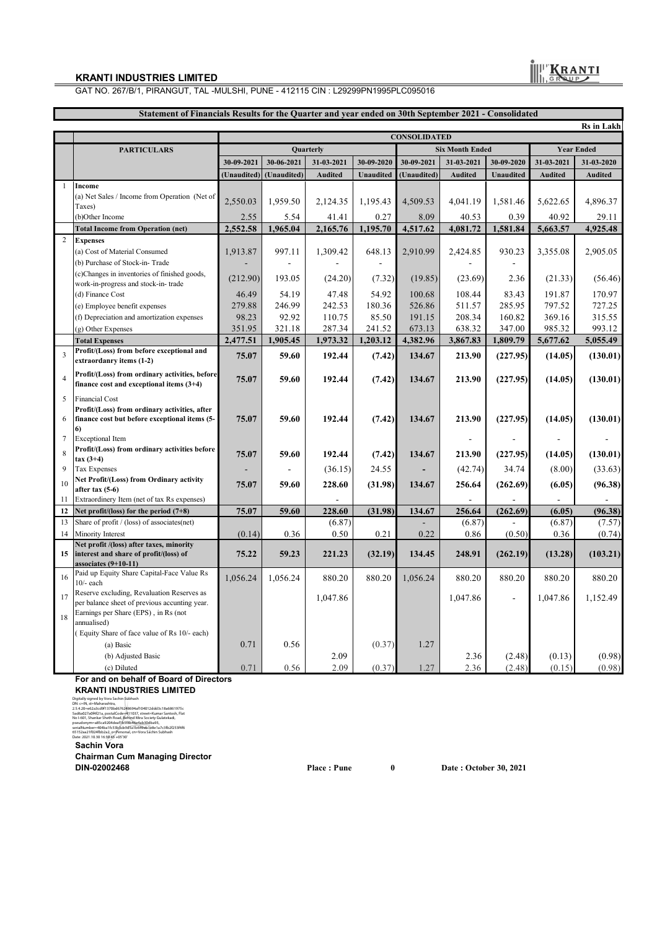GAT NO. 267/B/1, PIRANGUT, TAL -MULSHI, PUNE - 412115 CIN : L29299PN1995PLC095016

| Statement of Financials Results for the Quarter and year ended on 30th September 2021 - Consolidated |                                                                                             |                     |             |                |                        |             |                |                   |                |            |  |
|------------------------------------------------------------------------------------------------------|---------------------------------------------------------------------------------------------|---------------------|-------------|----------------|------------------------|-------------|----------------|-------------------|----------------|------------|--|
|                                                                                                      |                                                                                             | <b>Rs</b> in Lakh   |             |                |                        |             |                |                   |                |            |  |
|                                                                                                      |                                                                                             | <b>CONSOLIDATED</b> |             |                |                        |             |                |                   |                |            |  |
|                                                                                                      | <b>PARTICULARS</b>                                                                          | Quarterly           |             |                | <b>Six Month Ended</b> |             |                | <b>Year Ended</b> |                |            |  |
|                                                                                                      |                                                                                             | 30-09-2021          | 30-06-2021  | 31-03-2021     | 30-09-2020             | 30-09-2021  | 31-03-2021     | 30-09-2020        | 31-03-2021     | 31-03-2020 |  |
|                                                                                                      |                                                                                             | (Unaudited)         | (Unaudited) | Audited        | Unaudited              | (Unaudited) | <b>Audited</b> | Unaudited         | Audited        | Audited    |  |
| $\mathbf{1}$                                                                                         | Income                                                                                      |                     |             |                |                        |             |                |                   |                |            |  |
|                                                                                                      | (a) Net Sales / Income from Operation (Net of<br>Taxes)                                     | 2,550.03            | 1,959.50    | 2,124.35       | 1,195.43               | 4,509.53    | 4,041.19       | 1,581.46          | 5,622.65       | 4,896.37   |  |
|                                                                                                      | (b)Other Income                                                                             | 2.55                | 5.54        | 41.41          | 0.27                   | 8.09        | 40.53          | 0.39              | 40.92          | 29.11      |  |
|                                                                                                      | <b>Total Income from Operation (net)</b>                                                    | 2,552.58            | 1,965.04    | 2,165.76       | 1,195.70               | 4,517.62    | 4,081.72       | 1,581.84          | 5,663.57       | 4,925.48   |  |
| $\overline{c}$                                                                                       | <b>Expenses</b>                                                                             |                     |             |                |                        |             |                |                   |                |            |  |
|                                                                                                      | (a) Cost of Material Consumed                                                               | 1,913.87            | 997.11      | 1,309.42       | 648.13                 | 2,910.99    | 2,424.85       | 930.23            | 3,355.08       | 2,905.05   |  |
|                                                                                                      | (b) Purchase of Stock-in-Trade                                                              |                     |             |                |                        |             |                |                   |                |            |  |
|                                                                                                      | (c)Changes in inventories of finished goods,<br>work-in-progress and stock-in-trade         | (212.90)            | 193.05      | (24.20)        | (7.32)                 | (19.85)     | (23.69)        | 2.36              | (21.33)        | (56.46)    |  |
|                                                                                                      | (d) Finance Cost                                                                            | 46.49               | 54.19       | 47.48          | 54.92                  | 100.68      | 108.44         | 83.43             | 191.87         | 170.97     |  |
|                                                                                                      | (e) Employee benefit expenses                                                               | 279.88              | 246.99      | 242.53         | 180.36                 | 526.86      | 511.57         | 285.95            | 797.52         | 727.25     |  |
|                                                                                                      | (f) Depreciation and amortization expenses                                                  | 98.23               | 92.92       | 110.75         | 85.50                  | 191.15      | 208.34         | 160.82            | 369.16         | 315.55     |  |
|                                                                                                      | (g) Other Expenses                                                                          | 351.95              | 321.18      | 287.34         | 241.52                 | 673.13      | 638.32         | 347.00            | 985.32         | 993.12     |  |
|                                                                                                      | <b>Total Expenses</b>                                                                       | 2,477.51            | 1,905.45    | 1,973.32       | 1,203.12               | 4,382.96    | 3,867.83       | 1,809.79          | 5,677.62       | 5,055.49   |  |
| 3                                                                                                    | Profit/(Loss) from before exceptional and<br>extraordanry items (1-2)                       | 75.07               | 59.60       | 192.44         | (7.42)                 | 134.67      | 213.90         | (227.95)          | (14.05)        | (130.01)   |  |
| $\overline{4}$                                                                                       | Profit/(Loss) from ordinary activities, before<br>finance cost and exceptional items (3+4)  | 75.07               | 59.60       | 192.44         | (7.42)                 | 134.67      | 213.90         | (227.95)          | (14.05)        | (130.01)   |  |
| 5                                                                                                    | Financial Cost                                                                              |                     |             |                |                        |             |                |                   |                |            |  |
|                                                                                                      | Profit/(Loss) from ordinary activities, after                                               |                     |             |                |                        |             |                |                   |                |            |  |
| 6                                                                                                    | finance cost but before exceptional items (5-                                               | 75.07               | 59.60       | 192.44         | (7.42)                 | 134.67      | 213.90         | (227.95)          | (14.05)        | (130.01)   |  |
| $\tau$                                                                                               | 6)<br><b>Exceptional Item</b>                                                               |                     |             |                |                        |             |                |                   | $\overline{a}$ |            |  |
|                                                                                                      | Profit/(Loss) from ordinary activities before                                               |                     |             |                |                        |             |                |                   |                |            |  |
| 8                                                                                                    | $\arctan(3+4)$                                                                              | 75.07               | 59.60       | 192.44         | (7.42)                 | 134.67      | 213.90         | (227.95)          | (14.05)        | (130.01)   |  |
| 9                                                                                                    | Tax Expenses                                                                                |                     |             | (36.15)        | 24.55                  |             | (42.74)        | 34.74             | (8.00)         | (33.63)    |  |
| 10                                                                                                   | Net Profit/(Loss) from Ordinary activity<br>after tax (5-6)                                 | 75.07               | 59.60       | 228.60         | (31.98)                | 134.67      | 256.64         | (262.69)          | (6.05)         | (96.38)    |  |
| 11                                                                                                   | Extraordinery Item (net of tax Rs expenses)                                                 |                     |             | $\overline{a}$ |                        |             | ×.             |                   |                |            |  |
| 12                                                                                                   | Net profit/(loss) for the period (7+8)                                                      | 75.07               | 59.60       | 228.60         | (31.98)                | 134.67      | 256.64         | (262.69)          | (6.05)         | (96.38)    |  |
| 13                                                                                                   | Share of profit / (loss) of associates(net)                                                 |                     |             | (6.87)         |                        |             | (6.87)         |                   | (6.87)         | (7.57)     |  |
| 14                                                                                                   | Minority Interest                                                                           | (0.14)              | 0.36        | 0.50           | 0.21                   | 0.22        | 0.86           | (0.50)            | 0.36           | (0.74)     |  |
|                                                                                                      | Net profit /(loss) after taxes, minority                                                    |                     |             |                |                        |             |                |                   |                |            |  |
| 15                                                                                                   | interest and share of profit/(loss) of<br>associates (9+10-11)                              | 75.22               | 59.23       | 221.23         | (32.19)                | 134.45      | 248.91         | (262.19)          | (13.28)        | (103.21)   |  |
| 16                                                                                                   | Paid up Equity Share Capital-Face Value Rs<br>$10/-$ each                                   | 1,056.24            | 1,056.24    | 880.20         | 880.20                 | 1,056.24    | 880.20         | 880.20            | 880.20         | 880.20     |  |
| 17                                                                                                   | Reserve excluding, Revaluation Reserves as<br>per balance sheet of previous accunting year. |                     |             | 1,047.86       |                        |             | 1,047.86       | ÷                 | 1,047.86       | 1,152.49   |  |
| 18                                                                                                   | Earnings per Share (EPS), in Rs (not<br>annualised)                                         |                     |             |                |                        |             |                |                   |                |            |  |
|                                                                                                      | (Equity Share of face value of Rs 10/- each)                                                |                     |             |                |                        |             |                |                   |                |            |  |
|                                                                                                      | (a) Basic                                                                                   | 0.71                | 0.56        |                | (0.37)                 | 1.27        |                |                   |                |            |  |
|                                                                                                      | (b) Adjusted Basic                                                                          |                     |             | 2.09           |                        |             | 2.36           | (2.48)            | (0.13)         | (0.98)     |  |
|                                                                                                      | (c) Diluted                                                                                 | 0.71                | 0.56        | 2.09           | (0.37)                 | 1.27        | 2.36           | (2.48)            | (0.15)         | (0.98)     |  |

#### **For and on behalf of Board of Directors KRANTI INDUSTRIES LIMITED**

**Sachin Vora** Digilally signed by Ivor Sachin Subhash<br>Digilally signed by Ivor Sachin Subhash (1941) 2ddd2c18a6861975c<br>2.54.050-e62a52ddf1731/bdo762d66941104012ddd2c18a6861975c<br>3ad6607.4094121a, postalCode=411037, ztreet-Kumar Santodi,

**Chairman Cum Managing Director**

**Place : Pune 0 Date : October 30, 2021**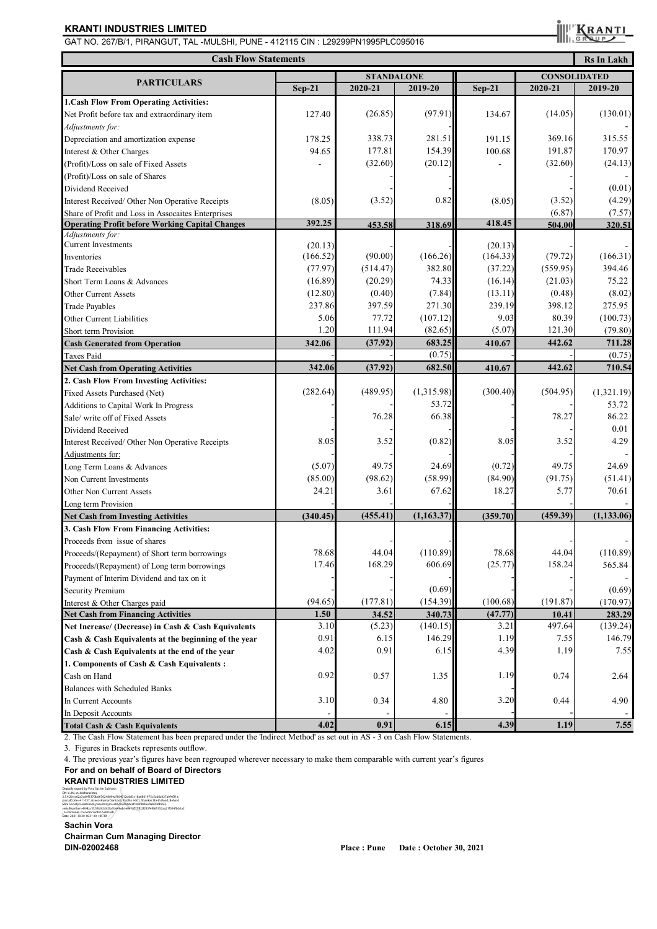GAT NO. 267/B/1, PIRANGUT, TAL -MULSHI, PUNE - 412115 CIN : L29299PN1995PLC095016

KRAN

| <b>Cash Flow Statements</b><br><b>Rs In Lakh</b>       |                   |          |            |          |          |                     |  |  |
|--------------------------------------------------------|-------------------|----------|------------|----------|----------|---------------------|--|--|
|                                                        | <b>STANDALONE</b> |          |            |          |          | <b>CONSOLIDATED</b> |  |  |
| <b>PARTICULARS</b>                                     | $Sep-21$          | 2020-21  | 2019-20    | $Sep-21$ | 2020-21  | 2019-20             |  |  |
| 1. Cash Flow From Operating Activities:                |                   |          |            |          |          |                     |  |  |
| Net Profit before tax and extraordinary item           | 127.40            | (26.85)  | (97.91)    | 134.67   | (14.05)  | (130.01)            |  |  |
| Adjustments for:                                       |                   |          |            |          |          |                     |  |  |
| Depreciation and amortization expense                  | 178.25            | 338.73   | 281.51     | 191.15   | 369.16   | 315.55              |  |  |
| Interest & Other Charges                               | 94.65             | 177.81   | 154.39     | 100.68   | 191.87   | 170.97              |  |  |
| (Profit)/Loss on sale of Fixed Assets                  |                   | (32.60)  | (20.12)    |          | (32.60)  | (24.13)             |  |  |
| (Profit)/Loss on sale of Shares                        |                   |          |            |          |          |                     |  |  |
| Dividend Received                                      |                   |          |            |          |          | (0.01)              |  |  |
| Interest Received/ Other Non Operative Receipts        | (8.05)            | (3.52)   | 0.82       | (8.05)   | (3.52)   | (4.29)              |  |  |
| Share of Profit and Loss in Assocaites Enterprises     |                   |          |            |          | (6.87)   | (7.57)              |  |  |
| <b>Operating Profit before Working Capital Changes</b> | 392.25            | 453.58   | 318.69     | 418.45   | 504.00   | 320.51              |  |  |
| Adjustments for:                                       |                   |          |            |          |          |                     |  |  |
| <b>Current Investments</b>                             | (20.13)           |          |            | (20.13)  |          |                     |  |  |
| Inventories                                            | (166.52)          | (90.00)  | (166.26)   | (164.33) | (79.72)  | (166.31)            |  |  |
| <b>Trade Receivables</b>                               | (77.97)           | (514.47) | 382.80     | (37.22)  | (559.95) | 394.46              |  |  |
| Short Term Loans & Advances                            | (16.89)           | (20.29)  | 74.33      | (16.14)  | (21.03)  | 75.22               |  |  |
| Other Current Assets                                   | (12.80)           | (0.40)   | (7.84)     | (13.11)  | (0.48)   | (8.02)              |  |  |
| <b>Trade Payables</b>                                  | 237.86            | 397.59   | 271.30     | 239.19   | 398.12   | 275.95              |  |  |
| Other Current Liabilities                              | 5.06              | 77.72    | (107.12)   | 9.03     | 80.39    | (100.73)            |  |  |
| Short term Provision                                   | 1.20              | 111.94   | (82.65)    | (5.07)   | 121.30   | (79.80)             |  |  |
| <b>Cash Generated from Operation</b>                   | 342.06            | (37.92)  | 683.25     | 410.67   | 442.62   | 711.28              |  |  |
| <b>Taxes Paid</b>                                      |                   |          | (0.75)     |          |          | (0.75)              |  |  |
| <b>Net Cash from Operating Activities</b>              | 342.06            | (37.92)  | 682.50     | 410.67   | 442.62   | 710.54              |  |  |
| 2. Cash Flow From Investing Activities:                |                   |          |            |          |          |                     |  |  |
| Fixed Assets Purchased (Net)                           | (282.64)          | (489.95) | (1,315.98) | (300.40) | (504.95) | (1,321.19)          |  |  |
| Additions to Capital Work In Progress                  |                   |          | 53.72      |          |          | 53.72               |  |  |
| Sale/write off of Fixed Assets                         |                   | 76.28    | 66.38      |          | 78.27    | 86.22               |  |  |
| Dividend Received                                      |                   |          |            |          |          | 0.01                |  |  |
| Interest Received/ Other Non Operative Receipts        | 8.05              | 3.52     | (0.82)     | 8.05     | 3.52     | 4.29                |  |  |
| Adjustments for:                                       |                   |          |            |          |          |                     |  |  |
| Long Term Loans & Advances                             | (5.07)            | 49.75    | 24.69      | (0.72)   | 49.75    | 24.69               |  |  |
| Non Current Investments                                | (85.00)           | (98.62)  | (58.99)    | (84.90)  | (91.75)  | (51.41)             |  |  |
| Other Non Current Assets                               | 24.21             | 3.61     | 67.62      | 18.27    | 5.77     | 70.61               |  |  |
| Long term Provision                                    |                   |          |            |          |          |                     |  |  |
| <b>Net Cash from Investing Activities</b>              | (340.45)          | (455.41) | (1,163.37) | (359.70) | (459.39) | (1, 133.06)         |  |  |
| 3. Cash Flow From Financing Activities:                |                   |          |            |          |          |                     |  |  |
| Proceeds from issue of shares                          |                   |          |            |          |          |                     |  |  |
| Proceeds/(Repayment) of Short term borrowings          | 78.68             | 44.04    | (110.89)   | 78.68    | 44.04    | (110.89)            |  |  |
| Proceeds/(Repayment) of Long term borrowings           | 17.46             | 168.29   | 606.69     | (25.77)  | 158.24   | 565.84              |  |  |
| Payment of Interim Dividend and tax on it              |                   |          |            |          |          |                     |  |  |
| <b>Security Premium</b>                                |                   |          | (0.69)     |          |          | (0.69)              |  |  |
| Interest & Other Charges paid                          | (94.65)           | (177.81) | (154.39)   | (100.68) | (191.87) | (170.97)            |  |  |
| <b>Net Cash from Financing Activities</b>              | 1.50              | 34.52    | 340.73     | (47.77)  | 10.41    | 283.29              |  |  |
| Net Increase/ (Decrease) in Cash & Cash Equivalents    | 3.10              | (5.23)   | (140.15)   | 3.21     | 497.64   | (139.24)            |  |  |
| Cash & Cash Equivalents at the beginning of the year   | 0.91              | 6.15     | 146.29     | 1.19     | 7.55     | 146.79              |  |  |
| Cash & Cash Equivalents at the end of the year         | 4.02              | 0.91     | 6.15       | 4.39     | 1.19     | 7.55                |  |  |
| 1. Components of Cash & Cash Equivalents:              |                   |          |            |          |          |                     |  |  |
| Cash on Hand                                           | 0.92              | 0.57     | 1.35       | 1.19     | 0.74     | 2.64                |  |  |
| Balances with Scheduled Banks                          |                   |          |            |          |          |                     |  |  |
| In Current Accounts                                    | 3.10              | 0.34     | 4.80       | 3.20     | 0.44     | 4.90                |  |  |
| In Deposit Accounts                                    |                   |          |            |          |          |                     |  |  |
| <b>Total Cash &amp; Cash Equivalents</b>               | 4.02              | 0.91     | 6.15       | 4.39     | 1.19     | 7.55                |  |  |

2. The Cash Flow Statement has been prepared under the 'Indirect Method' as set out in AS - 3 on Cash Flow Statements.

3. Figures in Brackets represents outflow.

4. The previous year's figures have been regrouped wherever necessary to make them comparable with current year's figures

#### **For and on behalf of Board of Directors**

# **KRANTI INDUSTRIES LIMITED**

Digitally signed by Vora Sachin Subhash DN: c=IN, st=Maharashtra, 2.5.4.20=e62a3cd9f1370bd676248694af104012ddd3c18a6861975c5ad6a027a0f4f21a,<br>postalCode=411037, street=Kumar Santosh, Flat No1-601, Shankar Sheth Road, Behind<br>Mira Society Gulatekadi, pseudonym=a85ca9204deaf1b5f8b46e4ab30dba

#### serialNumber=404ba1fc53b3cb3d5a1b649eb1e8e1a7c3fb2f253f4f665152aa21f024fbb2a2<br>, o=Personal, cn=Vora Sachin Subhash *|*<br>Date: 2021.10.30 16:31:10 +05'30' *|*

#### **Sachin Vora**

**Chairman Cum Managing Director DIN-02002468 Place : Pune Date : October 30, 2021**